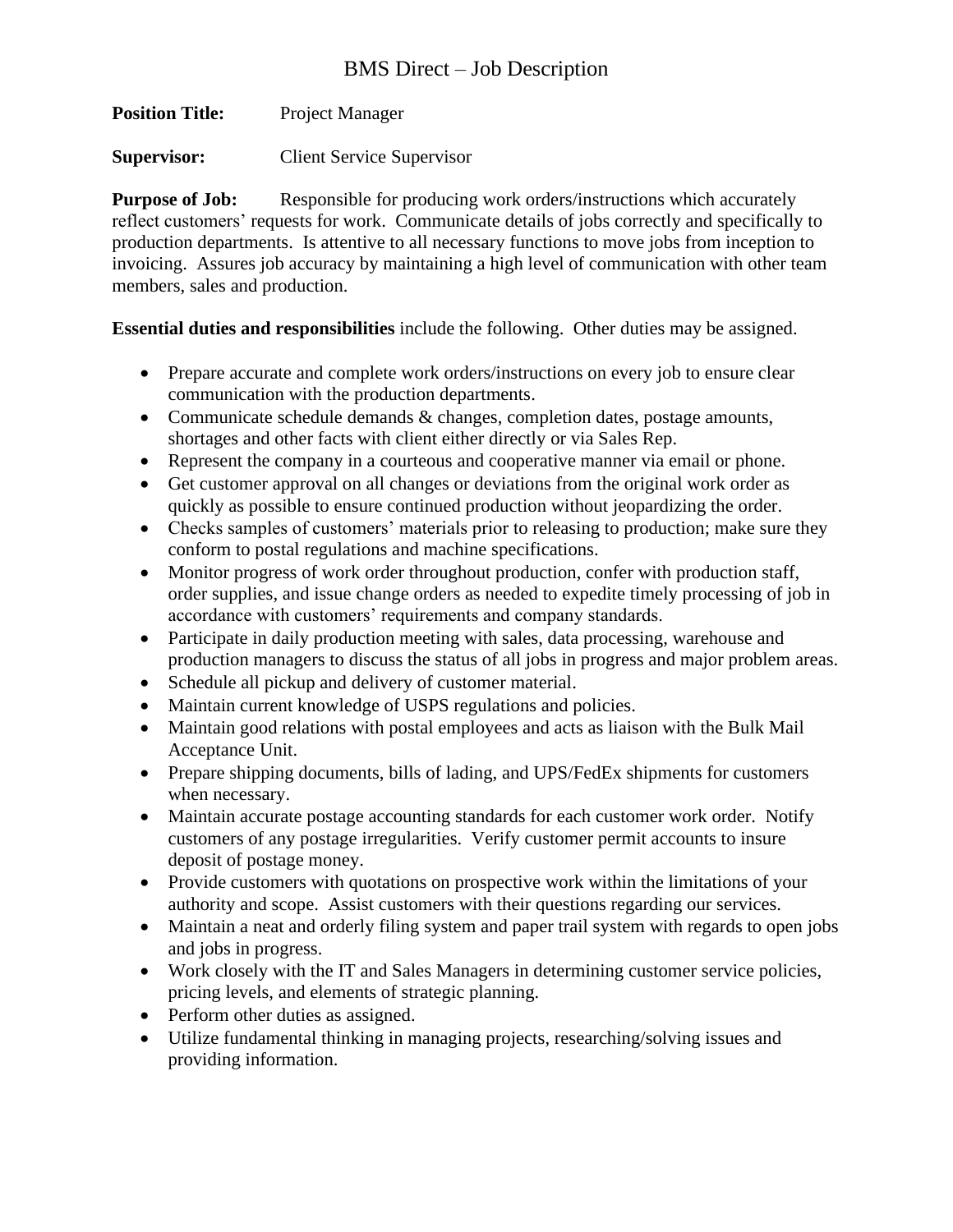**Position Title:** Project Manager

**Supervisor:** Client Service Supervisor

**Purpose of Job:** Responsible for producing work orders/instructions which accurately reflect customers' requests for work. Communicate details of jobs correctly and specifically to production departments. Is attentive to all necessary functions to move jobs from inception to invoicing. Assures job accuracy by maintaining a high level of communication with other team members, sales and production.

**Essential duties and responsibilities** include the following. Other duties may be assigned.

- Prepare accurate and complete work orders/instructions on every job to ensure clear communication with the production departments.
- Communicate schedule demands & changes, completion dates, postage amounts, shortages and other facts with client either directly or via Sales Rep.
- Represent the company in a courteous and cooperative manner via email or phone.
- Get customer approval on all changes or deviations from the original work order as quickly as possible to ensure continued production without jeopardizing the order.
- Checks samples of customers' materials prior to releasing to production; make sure they conform to postal regulations and machine specifications.
- Monitor progress of work order throughout production, confer with production staff, order supplies, and issue change orders as needed to expedite timely processing of job in accordance with customers' requirements and company standards.
- Participate in daily production meeting with sales, data processing, warehouse and production managers to discuss the status of all jobs in progress and major problem areas.
- Schedule all pickup and delivery of customer material.
- Maintain current knowledge of USPS regulations and policies.
- Maintain good relations with postal employees and acts as liaison with the Bulk Mail Acceptance Unit.
- Prepare shipping documents, bills of lading, and UPS/FedEx shipments for customers when necessary.
- Maintain accurate postage accounting standards for each customer work order. Notify customers of any postage irregularities. Verify customer permit accounts to insure deposit of postage money.
- Provide customers with quotations on prospective work within the limitations of your authority and scope. Assist customers with their questions regarding our services.
- Maintain a neat and orderly filing system and paper trail system with regards to open jobs and jobs in progress.
- Work closely with the IT and Sales Managers in determining customer service policies, pricing levels, and elements of strategic planning.
- Perform other duties as assigned.
- Utilize fundamental thinking in managing projects, researching/solving issues and providing information.